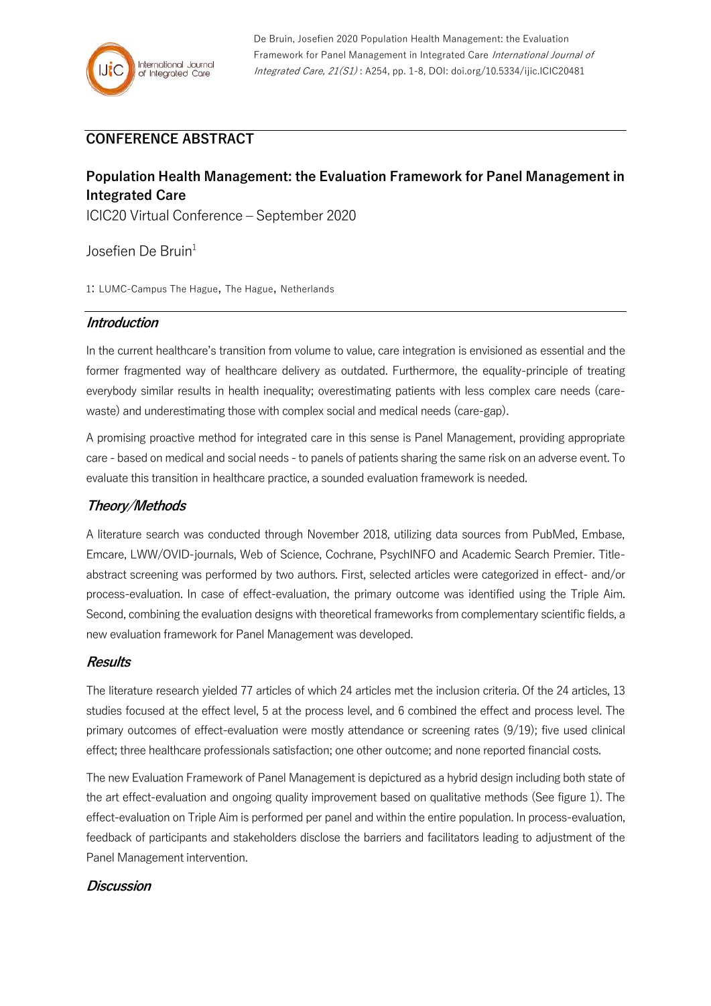## **CONFERENCE ABSTRACT**

# **Population Health Management: the Evaluation Framework for Panel Management in Integrated Care**

ICIC20 Virtual Conference – September 2020

Josefien De Bruin<sup>1</sup>

1: LUMC-Campus The Hague, The Hague, Netherlands

### **Introduction**

In the current healthcare's transition from volume to value, care integration is envisioned as essential and the former fragmented way of healthcare delivery as outdated. Furthermore, the equality-principle of treating everybody similar results in health inequality; overestimating patients with less complex care needs (carewaste) and underestimating those with complex social and medical needs (care-gap).

A promising proactive method for integrated care in this sense is Panel Management, providing appropriate care - based on medical and social needs - to panels of patients sharing the same risk on an adverse event. To evaluate this transition in healthcare practice, a sounded evaluation framework is needed.

## **Theory/Methods**

A literature search was conducted through November 2018, utilizing data sources from PubMed, Embase, Emcare, LWW/OVID-journals, Web of Science, Cochrane, PsychINFO and Academic Search Premier. Titleabstract screening was performed by two authors. First, selected articles were categorized in effect- and/or process-evaluation. In case of effect-evaluation, the primary outcome was identified using the Triple Aim. Second, combining the evaluation designs with theoretical frameworks from complementary scientific fields, a new evaluation framework for Panel Management was developed.

### **Results**

The literature research yielded 77 articles of which 24 articles met the inclusion criteria. Of the 24 articles, 13 studies focused at the effect level, 5 at the process level, and 6 combined the effect and process level. The primary outcomes of effect-evaluation were mostly attendance or screening rates (9/19); five used clinical effect; three healthcare professionals satisfaction; one other outcome; and none reported financial costs.

The new Evaluation Framework of Panel Management is depictured as a hybrid design including both state of the art effect-evaluation and ongoing quality improvement based on qualitative methods (See figure 1). The effect-evaluation on Triple Aim is performed per panel and within the entire population. In process-evaluation, feedback of participants and stakeholders disclose the barriers and facilitators leading to adjustment of the Panel Management intervention.

#### **Discussion**